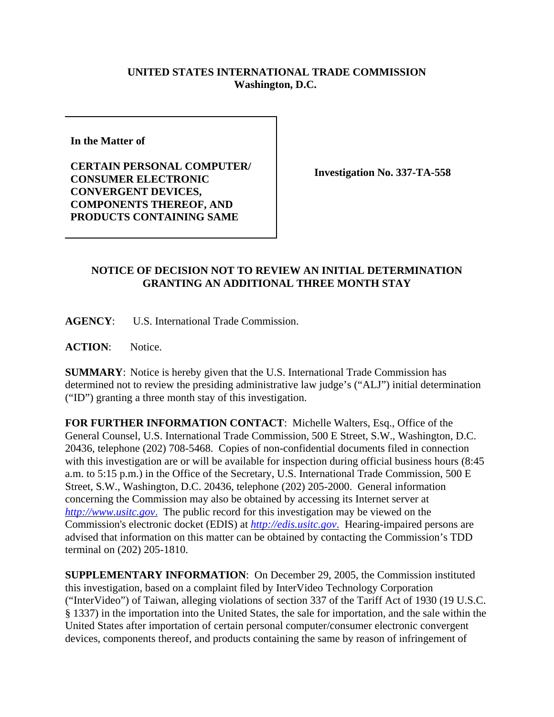## **UNITED STATES INTERNATIONAL TRADE COMMISSION Washington, D.C.**

**In the Matter of** 

**CERTAIN PERSONAL COMPUTER/ CONSUMER ELECTRONIC CONVERGENT DEVICES, COMPONENTS THEREOF, AND PRODUCTS CONTAINING SAME**

**Investigation No. 337-TA-558**

## **NOTICE OF DECISION NOT TO REVIEW AN INITIAL DETERMINATION GRANTING AN ADDITIONAL THREE MONTH STAY**

**AGENCY**: U.S. International Trade Commission.

**ACTION**: Notice.

**SUMMARY**: Notice is hereby given that the U.S. International Trade Commission has determined not to review the presiding administrative law judge's ("ALJ") initial determination ("ID") granting a three month stay of this investigation.

**FOR FURTHER INFORMATION CONTACT**: Michelle Walters, Esq., Office of the General Counsel, U.S. International Trade Commission, 500 E Street, S.W., Washington, D.C. 20436, telephone (202) 708-5468. Copies of non-confidential documents filed in connection with this investigation are or will be available for inspection during official business hours (8:45 a.m. to 5:15 p.m.) in the Office of the Secretary, U.S. International Trade Commission, 500 E Street, S.W., Washington, D.C. 20436, telephone (202) 205-2000. General information concerning the Commission may also be obtained by accessing its Internet server at *http://www.usitc.gov*. The public record for this investigation may be viewed on the Commission's electronic docket (EDIS) at *http://edis.usitc.gov*. Hearing-impaired persons are advised that information on this matter can be obtained by contacting the Commission's TDD terminal on (202) 205-1810.

**SUPPLEMENTARY INFORMATION**: On December 29, 2005, the Commission instituted this investigation, based on a complaint filed by InterVideo Technology Corporation ("InterVideo") of Taiwan, alleging violations of section 337 of the Tariff Act of 1930 (19 U.S.C. § 1337) in the importation into the United States, the sale for importation, and the sale within the United States after importation of certain personal computer/consumer electronic convergent devices, components thereof, and products containing the same by reason of infringement of